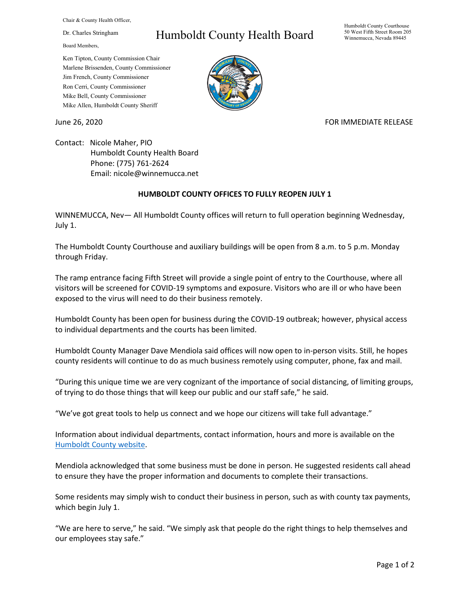Chair & County Health Officer,

Dr. Charles Stringham

Board Members,

## Humboldt County Health Board

Humboldt County Courthouse 50 West Fifth Street Room 205 Winnemucca, Nevada 89445

Ken Tipton, County Commission Chair Marlene Brissenden, County Commissioner Jim French, County Commissioner Ron Cerri, County Commissioner Mike Bell, County Commissioner Mike Allen, Humboldt County Sheriff

## June 26, 2020 **FOR IMMEDIATE RELEASE**

Contact: Nicole Maher, PIO Humboldt County Health Board Phone: (775) 761-2624 Email: nicole@winnemucca.net

## **HUMBOLDT COUNTY OFFICES TO FULLY REOPEN JULY 1**

WINNEMUCCA, Nev— All Humboldt County offices will return to full operation beginning Wednesday, July 1.

The Humboldt County Courthouse and auxiliary buildings will be open from 8 a.m. to 5 p.m. Monday through Friday.

The ramp entrance facing Fifth Street will provide a single point of entry to the Courthouse, where all visitors will be screened for COVID-19 symptoms and exposure. Visitors who are ill or who have been exposed to the virus will need to do their business remotely.

Humboldt County has been open for business during the COVID-19 outbreak; however, physical access to individual departments and the courts has been limited.

Humboldt County Manager Dave Mendiola said offices will now open to in-person visits. Still, he hopes county residents will continue to do as much business remotely using computer, phone, fax and mail.

"During this unique time we are very cognizant of the importance of social distancing, of limiting groups, of trying to do those things that will keep our public and our staff safe," he said.

"We've got great tools to help us connect and we hope our citizens will take full advantage."

Information about individual departments, contact information, hours and more is available on the [Humboldt County website.](https://www.hcnv.us/35/Departments)

Mendiola acknowledged that some business must be done in person. He suggested residents call ahead to ensure they have the proper information and documents to complete their transactions.

Some residents may simply wish to conduct their business in person, such as with county tax payments, which begin July 1.

"We are here to serve," he said. "We simply ask that people do the right things to help themselves and our employees stay safe."